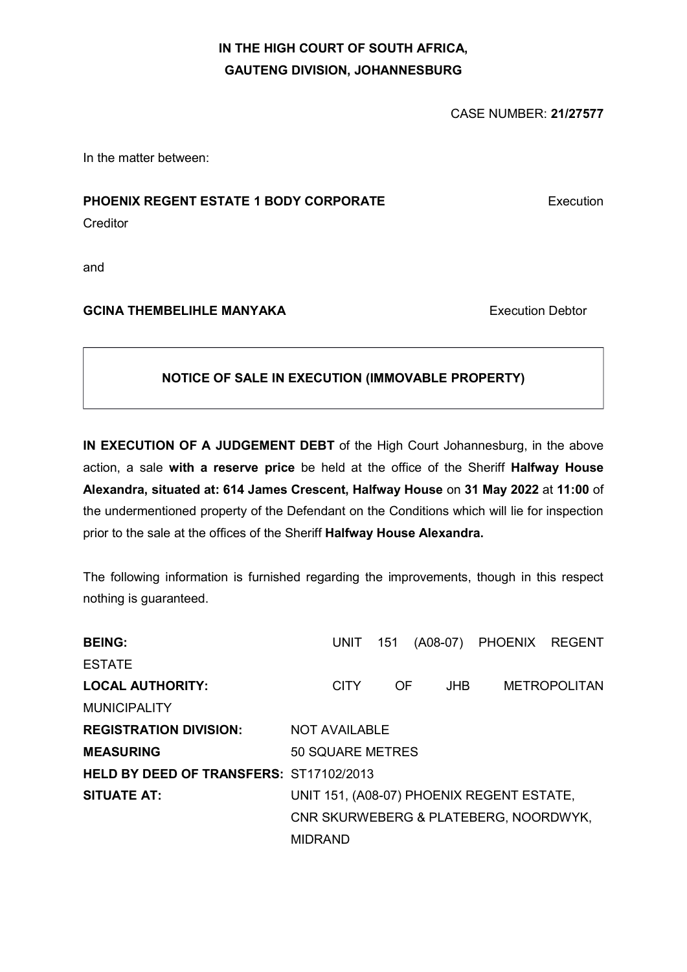# IN THE HIGH COURT OF SOUTH AFRICA, GAUTENG DIVISION, JOHANNESBURG

CASE NUMBER: 21/27577

In the matter between:

## PHOENIX REGENT ESTATE 1 BODY CORPORATE **Execution**

**Creditor** 

and

# GCINA THEMBELIHLE MANYAKA Execution Debtor

# NOTICE OF SALE IN EXECUTION (IMMOVABLE PROPERTY)

IN EXECUTION OF A JUDGEMENT DEBT of the High Court Johannesburg, in the above action, a sale with a reserve price be held at the office of the Sheriff Halfway House Alexandra, situated at: 614 James Crescent, Halfway House on 31 May 2022 at 11:00 of the undermentioned property of the Defendant on the Conditions which will lie for inspection prior to the sale at the offices of the Sheriff Halfway House Alexandra.

The following information is furnished regarding the improvements, though in this respect nothing is guaranteed.

| <b>BEING:</b>                                  | UNIT 151                                  |     |            | (A08-07) PHOENIX REGENT |                     |
|------------------------------------------------|-------------------------------------------|-----|------------|-------------------------|---------------------|
| <b>ESTATE</b>                                  |                                           |     |            |                         |                     |
| <b>LOCAL AUTHORITY:</b>                        | <b>CITY</b>                               | OF. | <b>JHB</b> |                         | <b>METROPOLITAN</b> |
| <b>MUNICIPALITY</b>                            |                                           |     |            |                         |                     |
| <b>REGISTRATION DIVISION:</b>                  | NOT AVAILABLE                             |     |            |                         |                     |
| <b>MEASURING</b>                               | <b>50 SQUARE METRES</b>                   |     |            |                         |                     |
| <b>HELD BY DEED OF TRANSFERS: ST17102/2013</b> |                                           |     |            |                         |                     |
| <b>SITUATE AT:</b>                             | UNIT 151, (A08-07) PHOENIX REGENT ESTATE, |     |            |                         |                     |
|                                                | CNR SKURWEBERG & PLATEBERG, NOORDWYK,     |     |            |                         |                     |
|                                                | <b>MIDRAND</b>                            |     |            |                         |                     |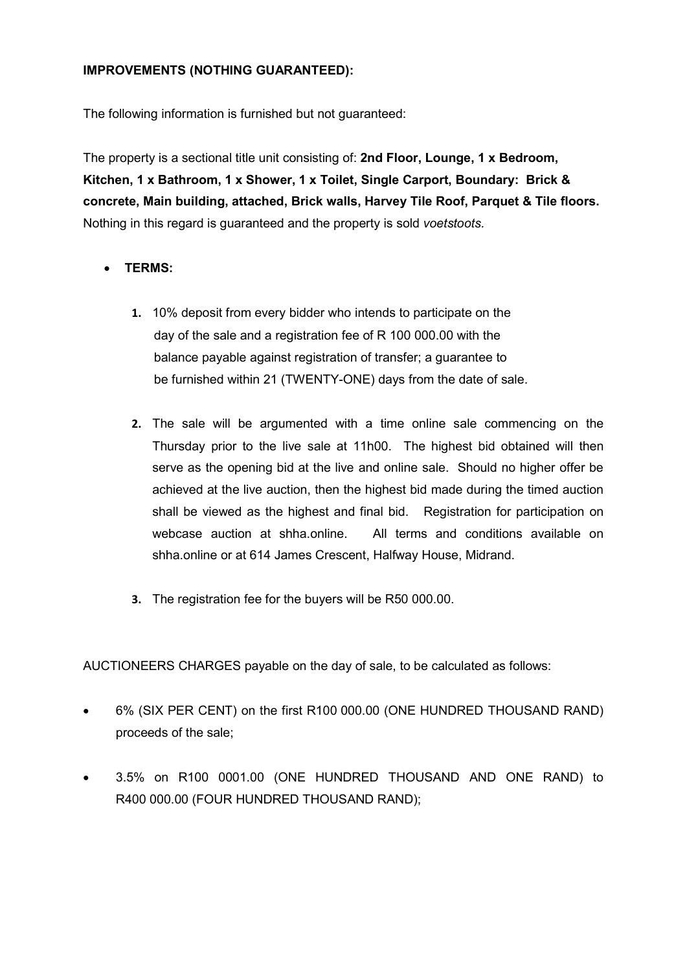## IMPROVEMENTS (NOTHING GUARANTEED):

The following information is furnished but not guaranteed:

The property is a sectional title unit consisting of: 2nd Floor, Lounge, 1 x Bedroom, Kitchen, 1 x Bathroom, 1 x Shower, 1 x Toilet, Single Carport, Boundary: Brick & concrete, Main building, attached, Brick walls, Harvey Tile Roof, Parquet & Tile floors. Nothing in this regard is guaranteed and the property is sold voetstoots.

## TERMS:

- 1. 10% deposit from every bidder who intends to participate on the day of the sale and a registration fee of R 100 000.00 with the balance payable against registration of transfer; a guarantee to be furnished within 21 (TWENTY-ONE) days from the date of sale.
- 2. The sale will be argumented with a time online sale commencing on the Thursday prior to the live sale at 11h00. The highest bid obtained will then serve as the opening bid at the live and online sale. Should no higher offer be achieved at the live auction, then the highest bid made during the timed auction shall be viewed as the highest and final bid. Registration for participation on webcase auction at shha.online. All terms and conditions available on shha.online or at 614 James Crescent, Halfway House, Midrand.
- 3. The registration fee for the buyers will be R50 000.00.

AUCTIONEERS CHARGES payable on the day of sale, to be calculated as follows:

- 6% (SIX PER CENT) on the first R100 000.00 (ONE HUNDRED THOUSAND RAND) proceeds of the sale;
- 3.5% on R100 0001.00 (ONE HUNDRED THOUSAND AND ONE RAND) to R400 000.00 (FOUR HUNDRED THOUSAND RAND);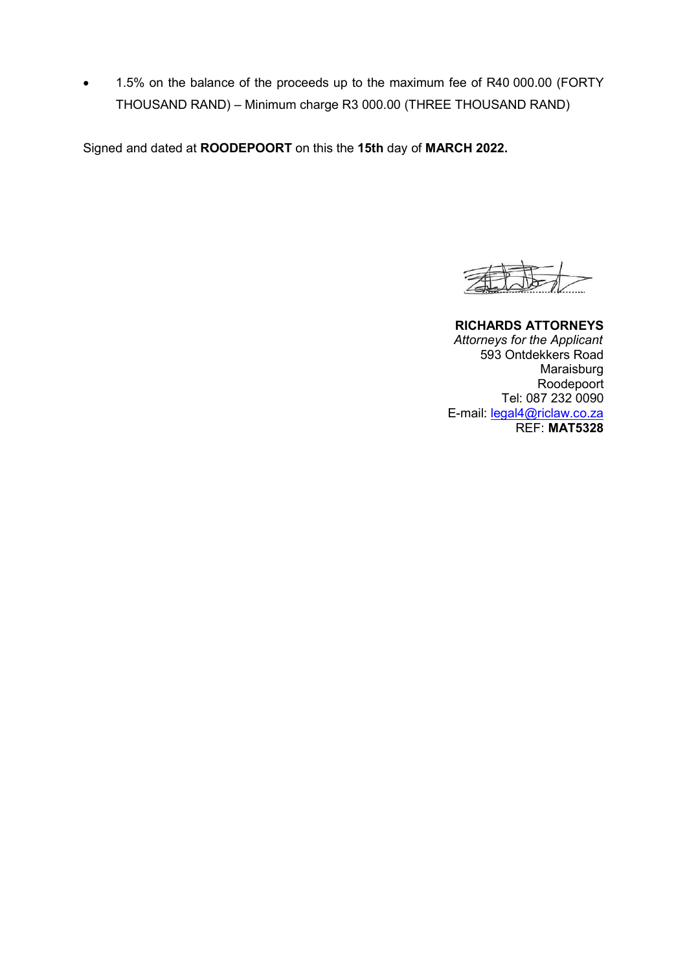1.5% on the balance of the proceeds up to the maximum fee of R40 000.00 (FORTY THOUSAND RAND) – Minimum charge R3 000.00 (THREE THOUSAND RAND)

Signed and dated at ROODEPOORT on this the 15th day of MARCH 2022.

RICHARDS ATTORNEYS Attorneys for the Applicant 593 Ontdekkers Road Maraisburg Roodepoort Tel: 087 232 0090 E-mail: legal4@riclaw.co.za REF: MAT5328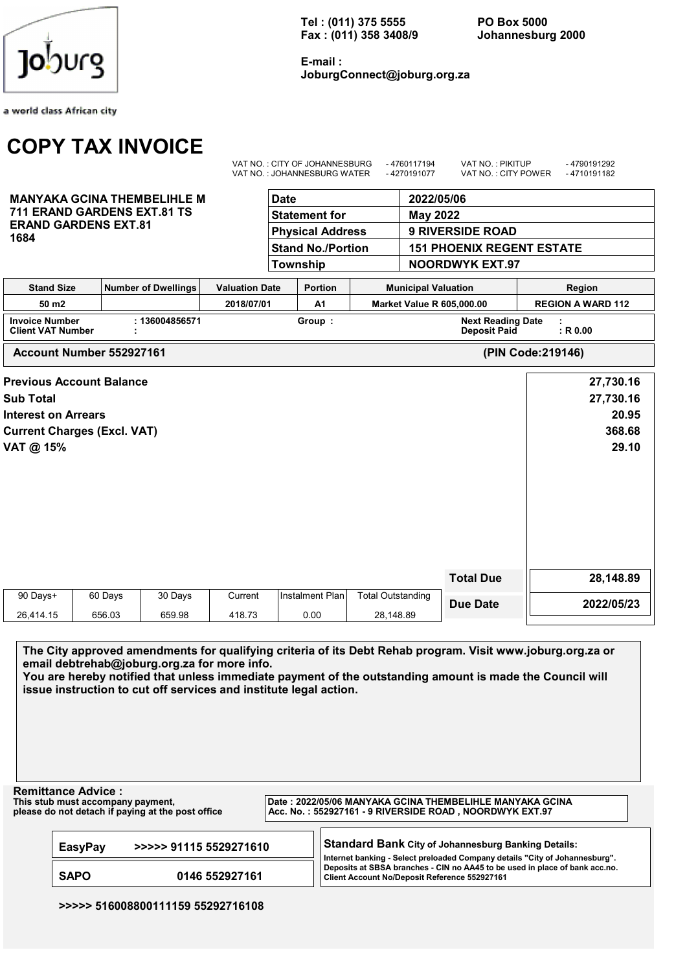a world class African city

# COPY TAX INVOICE

MANYAKA GCINA THEMBELIHLE M 711 ERAND GARDENS EXT.81 TS

ERAND GARDENS EXT.81

1684

Tel : (011) 375 5555 PO Box 5000 Fax : (011) 358 3408/9 Johannesburg 2000

E-mail : JoburgConnect@joburg.org.za

| <b>Date</b>              | 2022/05/06                       |  |
|--------------------------|----------------------------------|--|
| <b>Statement for</b>     | May 2022                         |  |
| <b>Physical Address</b>  | <b>9 RIVERSIDE ROAD</b>          |  |
| <b>Stand No./Portion</b> | <b>151 PHOENIX REGENT ESTATE</b> |  |
| Township                 | <b>NOORDWYK EXT.97</b>           |  |

VAT NO. : CITY OF JOHANNESBURG - 4760117104 VAT NO. : PIKITUP - 4700101202

| <b>Stand Size</b>                                 | Number of Dwellings | <b>Valuation Date</b> | <b>Portion</b> | <b>Municipal Valuation</b><br>Region            |                          |
|---------------------------------------------------|---------------------|-----------------------|----------------|-------------------------------------------------|--------------------------|
| 50 m <sub>2</sub>                                 |                     | 2018/07/01            | A1             | <b>Market Value R 605,000,00</b>                | <b>REGION A WARD 112</b> |
| <b>Invoice Number</b><br><b>Client VAT Number</b> | 136004856571        |                       | Group          | <b>Next Reading Date</b><br><b>Deposit Paid</b> | $:$ R 0.00               |

Account Number 552927161 (PIN Code:219146)

|                            | <b>Previous Account Balance</b>    |         |         |                 |                          |                  | 27,730.16  |
|----------------------------|------------------------------------|---------|---------|-----------------|--------------------------|------------------|------------|
| <b>Sub Total</b>           |                                    |         |         |                 |                          |                  | 27,730.16  |
| <b>Interest on Arrears</b> |                                    |         |         |                 |                          |                  | 20.95      |
|                            | <b>Current Charges (Excl. VAT)</b> |         |         |                 |                          |                  | 368.68     |
| VAT @ 15%                  |                                    |         |         |                 |                          |                  | 29.10      |
|                            |                                    |         |         |                 |                          |                  |            |
|                            |                                    |         |         |                 |                          |                  |            |
|                            |                                    |         |         |                 |                          |                  |            |
|                            |                                    |         |         |                 |                          |                  |            |
|                            |                                    |         |         |                 |                          |                  |            |
|                            |                                    |         |         |                 |                          |                  |            |
|                            |                                    |         |         |                 |                          | <b>Total Due</b> | 28,148.89  |
| 90 Days+                   | 60 Days                            | 30 Days | Current | Instalment Plan | <b>Total Outstanding</b> |                  |            |
|                            |                                    |         |         |                 |                          | <b>Due Date</b>  | 2022/05/23 |
| 26,414.15                  | 656.03                             | 659.98  | 418.73  | 0.00            | 28,148.89                |                  |            |

The City approved amendments for qualifying criteria of its Debt Rehab program. Visit www.joburg.org.za or email debtrehab@joburg.org.za for more info.

You are hereby notified that unless immediate payment of the outstanding amount is made the Council will issue instruction to cut off services and institute legal action.

Remittance Advice :<br>This stub must accompany payment,

This stub must accompany payment,<br>
please do not detach if paying at the post office<br>  $\begin{array}{r}$ Date : 2022/05/06 MANYAKA GCINA THEMBELIHLE MANYAKA GCINA<br>
Acc. No. : 552927161 - 9 RIVERSIDE ROAD, NOORDWYK EXT.97 pate : 2022/00/00 m/211/2010 Condit 1112002 - 2000RDWYK EXT.97

| <b>EasyPay</b> | >>>>> 91115 5529271610 | Standard Bank City of Johannesburg Banking Details:<br>Internet banking - Select preloaded Company details "City of Johannesburg". |
|----------------|------------------------|------------------------------------------------------------------------------------------------------------------------------------|
| <b>SAPO</b>    | 0146 552927161         | Deposits at SBSA branches - CIN no AA45 to be used in place of bank acc.no.<br>Client Account No/Deposit Reference 552927161       |

>>>>> 516008800111159 55292716108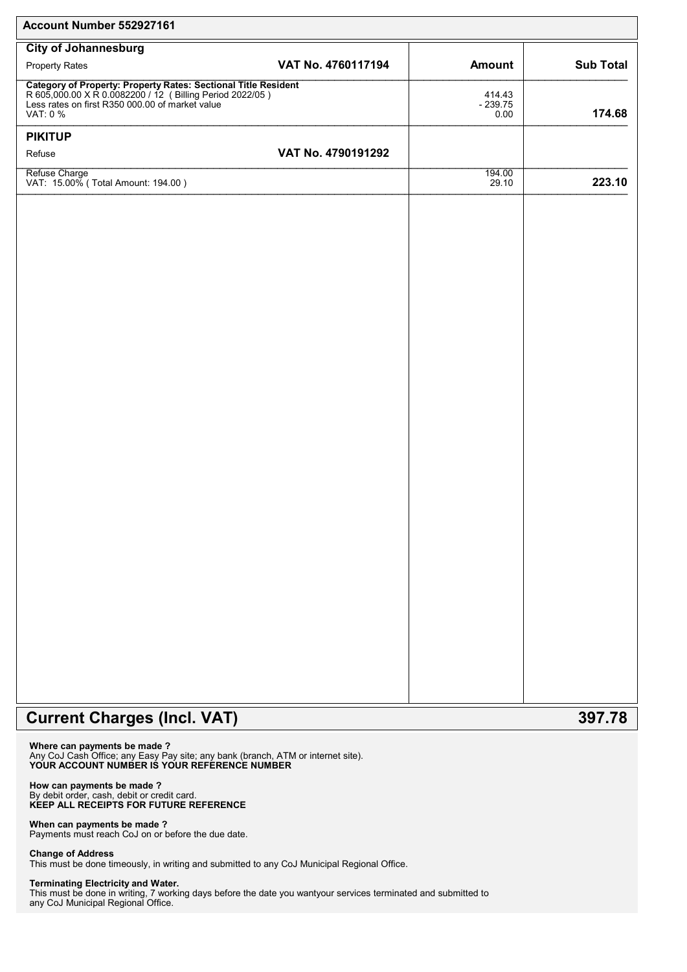| Account Number 552927161                                                                                                                                                                  |                    |                             |                  |
|-------------------------------------------------------------------------------------------------------------------------------------------------------------------------------------------|--------------------|-----------------------------|------------------|
| <b>City of Johannesburg</b>                                                                                                                                                               |                    |                             |                  |
| <b>Property Rates</b>                                                                                                                                                                     | VAT No. 4760117194 | Amount                      | <b>Sub Total</b> |
| Category of Property: Property Rates: Sectional Title Resident<br>R 605,000.00 X R 0.0082200 / 12 (Billing Period 2022/05)<br>Less rates on first R350 000.00 of market value<br>VAT: 0 % |                    | 414.43<br>$-239.75$<br>0.00 | 174.68           |
| <b>PIKITUP</b>                                                                                                                                                                            |                    |                             |                  |
| Refuse                                                                                                                                                                                    | VAT No. 4790191292 |                             |                  |
| Refuse Charge<br>VAT: 15.00% (Total Amount: 194.00)                                                                                                                                       |                    | 194.00<br>29.10             | 223.10           |
|                                                                                                                                                                                           |                    |                             |                  |
|                                                                                                                                                                                           |                    |                             |                  |
|                                                                                                                                                                                           |                    |                             |                  |
|                                                                                                                                                                                           |                    |                             |                  |
|                                                                                                                                                                                           |                    |                             |                  |
|                                                                                                                                                                                           |                    |                             |                  |
|                                                                                                                                                                                           |                    |                             |                  |
|                                                                                                                                                                                           |                    |                             |                  |
|                                                                                                                                                                                           |                    |                             |                  |
|                                                                                                                                                                                           |                    |                             |                  |
|                                                                                                                                                                                           |                    |                             |                  |
|                                                                                                                                                                                           |                    |                             |                  |
|                                                                                                                                                                                           |                    |                             |                  |
|                                                                                                                                                                                           |                    |                             |                  |
|                                                                                                                                                                                           |                    |                             |                  |
|                                                                                                                                                                                           |                    |                             |                  |
|                                                                                                                                                                                           |                    |                             |                  |
|                                                                                                                                                                                           |                    |                             |                  |
|                                                                                                                                                                                           |                    |                             |                  |
|                                                                                                                                                                                           |                    |                             |                  |
|                                                                                                                                                                                           |                    |                             |                  |
|                                                                                                                                                                                           |                    |                             |                  |
|                                                                                                                                                                                           |                    |                             |                  |
|                                                                                                                                                                                           |                    |                             |                  |
|                                                                                                                                                                                           |                    |                             |                  |
|                                                                                                                                                                                           |                    |                             |                  |
|                                                                                                                                                                                           |                    |                             |                  |

# Current Charges (Incl. VAT) 397.78

Where can payments be made ? Any CoJ Cash Office; any Easy Pay site; any bank (branch, ATM or internet site). YOUR ACCOUNT NUMBER IS YOUR REFERENCE NUMBER

#### How can payments be made ? By debit order, cash, debit or credit card. KEEP ALL RECEIPTS FOR FUTURE REFERENCE

When can payments be made ? Payments must reach CoJ on or before the due date.

## Change of Address

This must be done timeously, in writing and submitted to any CoJ Municipal Regional Office.

### Terminating Electricity and Water.

This must be done in writing, 7 working days before the date you wantyour services terminated and submitted to any CoJ Municipal Regional Office.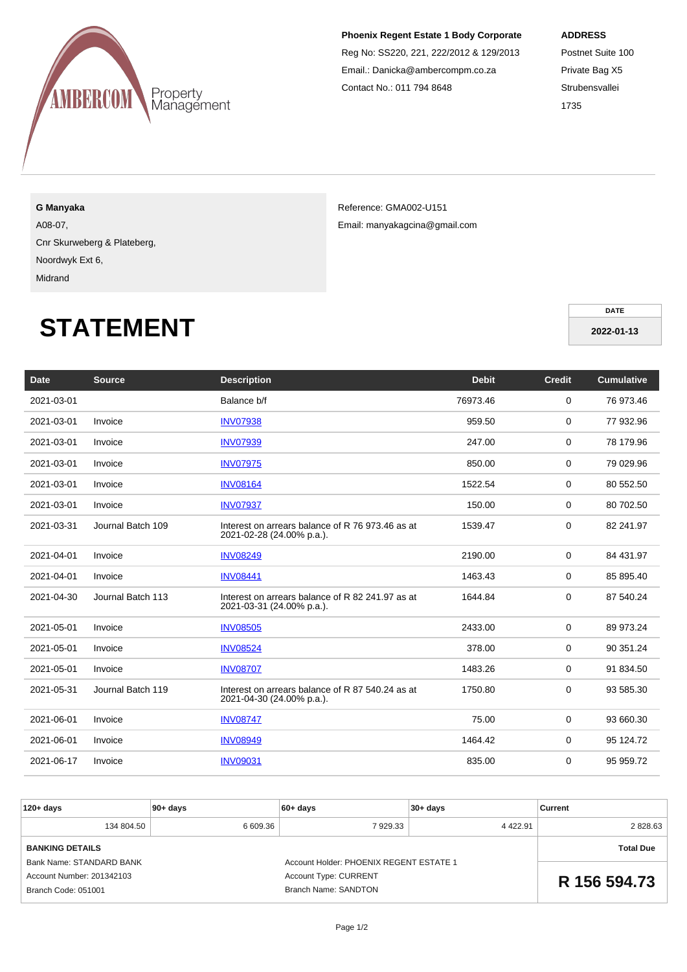

### **Phoenix Regent Estate 1 Body Corporate**

Reg No: SS220, 221, 222/2012 & 129/2013 Email.: Danicka@ambercompm.co.za Contact No.: 011 794 8648

#### **ADDRESS**

Postnet Suite 100 Private Bag X5 **Strubensvallei** 1735

**G Manyaka**

A08-07,

Cnr Skurweberg & Plateberg,

Noordwyk Ext 6, Midrand

Reference: GMA002-U151 Email: manyakagcina@gmail.com

**DATE 2022-01-13**

# **STATEMENT**

| <b>Date</b> | <b>Source</b>     | <b>Description</b>                                                            | <b>Debit</b> | <b>Credit</b> | <b>Cumulative</b> |
|-------------|-------------------|-------------------------------------------------------------------------------|--------------|---------------|-------------------|
| 2021-03-01  |                   | Balance b/f                                                                   | 76973.46     | $\mathbf 0$   | 76 973.46         |
| 2021-03-01  | Invoice           | <b>INV07938</b>                                                               | 959.50       | 0             | 77 932.96         |
| 2021-03-01  | Invoice           | <b>INV07939</b>                                                               | 247.00       | 0             | 78 179.96         |
| 2021-03-01  | Invoice           | <b>INV07975</b>                                                               | 850.00       | 0             | 79 029.96         |
| 2021-03-01  | Invoice           | <b>INV08164</b>                                                               | 1522.54      | 0             | 80 552.50         |
| 2021-03-01  | Invoice           | <b>INV07937</b>                                                               | 150.00       | 0             | 80 702.50         |
| 2021-03-31  | Journal Batch 109 | Interest on arrears balance of R 76 973.46 as at<br>2021-02-28 (24.00% p.a.). | 1539.47      | $\mathbf 0$   | 82 241.97         |
| 2021-04-01  | Invoice           | <b>INV08249</b>                                                               | 2190.00      | 0             | 84 431.97         |
| 2021-04-01  | Invoice           | <b>INV08441</b>                                                               | 1463.43      | 0             | 85 895.40         |
| 2021-04-30  | Journal Batch 113 | Interest on arrears balance of R 82 241.97 as at<br>2021-03-31 (24.00% p.a.). | 1644.84      | 0             | 87 540.24         |
| 2021-05-01  | Invoice           | <b>INV08505</b>                                                               | 2433.00      | 0             | 89 973.24         |
| 2021-05-01  | Invoice           | <b>INV08524</b>                                                               | 378.00       | 0             | 90 351.24         |
| 2021-05-01  | Invoice           | <b>INV08707</b>                                                               | 1483.26      | 0             | 91 834.50         |
| 2021-05-31  | Journal Batch 119 | Interest on arrears balance of R 87 540.24 as at<br>2021-04-30 (24.00% p.a.). | 1750.80      | 0             | 93 585.30         |
| 2021-06-01  | Invoice           | <b>INV08747</b>                                                               | 75.00        | 0             | 93 660.30         |
| 2021-06-01  | Invoice           | <b>INV08949</b>                                                               | 1464.42      | 0             | 95 124.72         |
| 2021-06-17  | Invoice           | <b>INV09031</b>                                                               | 835.00       | 0             | 95 959.72         |

| $120 + days$                                | $90+ days$       | $60 + days$                             | $30+ days$ | Current      |
|---------------------------------------------|------------------|-----------------------------------------|------------|--------------|
| 134 804.50                                  | 6 609.36         | 7 929.33                                | 4 4 2 2.91 | 2828.63      |
| <b>BANKING DETAILS</b>                      | <b>Total Due</b> |                                         |            |              |
| Bank Name: STANDARD BANK                    |                  | Account Holder: PHOENIX REGENT ESTATE 1 |            |              |
| Account Number: 201342103                   |                  | <b>Account Type: CURRENT</b>            |            | R 156 594.73 |
| Branch Code: 051001<br>Branch Name: SANDTON |                  |                                         |            |              |